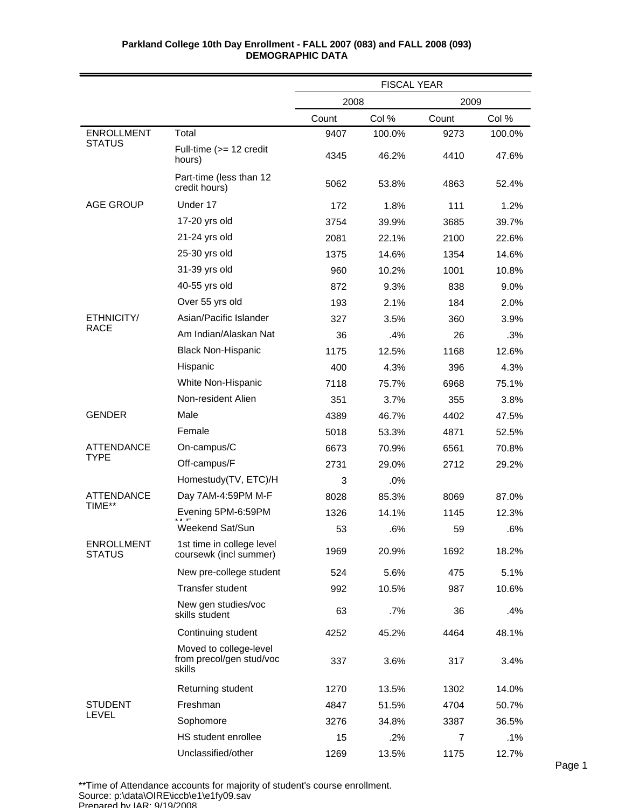|                                    |                                                              | <b>FISCAL YEAR</b> |        |                |        |
|------------------------------------|--------------------------------------------------------------|--------------------|--------|----------------|--------|
|                                    |                                                              | 2008               |        | 2009           |        |
|                                    |                                                              | Count              | Col %  | Count          | Col %  |
| <b>ENROLLMENT</b>                  | Total                                                        | 9407               | 100.0% | 9273           | 100.0% |
| <b>STATUS</b>                      | Full-time (>= 12 credit<br>hours)                            | 4345               | 46.2%  | 4410           | 47.6%  |
|                                    | Part-time (less than 12<br>credit hours)                     | 5062               | 53.8%  | 4863           | 52.4%  |
| <b>AGE GROUP</b>                   | Under 17                                                     | 172                | 1.8%   | 111            | 1.2%   |
|                                    | 17-20 yrs old                                                | 3754               | 39.9%  | 3685           | 39.7%  |
|                                    | 21-24 yrs old                                                | 2081               | 22.1%  | 2100           | 22.6%  |
|                                    | 25-30 yrs old                                                | 1375               | 14.6%  | 1354           | 14.6%  |
|                                    | 31-39 yrs old                                                | 960                | 10.2%  | 1001           | 10.8%  |
|                                    | 40-55 yrs old                                                | 872                | 9.3%   | 838            | 9.0%   |
|                                    | Over 55 yrs old                                              | 193                | 2.1%   | 184            | 2.0%   |
| ETHNICITY/                         | Asian/Pacific Islander                                       | 327                | 3.5%   | 360            | 3.9%   |
| <b>RACE</b>                        | Am Indian/Alaskan Nat                                        | 36                 | .4%    | 26             | .3%    |
|                                    | <b>Black Non-Hispanic</b>                                    | 1175               | 12.5%  | 1168           | 12.6%  |
|                                    | Hispanic                                                     | 400                | 4.3%   | 396            | 4.3%   |
|                                    | White Non-Hispanic                                           | 7118               | 75.7%  | 6968           | 75.1%  |
|                                    | Non-resident Alien                                           | 351                | 3.7%   | 355            | 3.8%   |
| <b>GENDER</b>                      | Male                                                         | 4389               | 46.7%  | 4402           | 47.5%  |
|                                    | Female                                                       | 5018               | 53.3%  | 4871           | 52.5%  |
| <b>ATTENDANCE</b>                  | On-campus/C                                                  | 6673               | 70.9%  | 6561           | 70.8%  |
| <b>TYPE</b>                        | Off-campus/F                                                 | 2731               | 29.0%  | 2712           | 29.2%  |
|                                    | Homestudy(TV, ETC)/H                                         | 3                  | .0%    |                |        |
| <b>ATTENDANCE</b>                  | Day 7AM-4:59PM M-F                                           | 8028               | 85.3%  | 8069           | 87.0%  |
| TIME**                             | Evening 5PM-6:59PM                                           | 1326               | 14.1%  | 1145           | 12.3%  |
|                                    | Weekend Sat/Sun                                              | 53                 | .6%    | 59             | .6%    |
| <b>ENROLLMENT</b><br><b>STATUS</b> | 1st time in college level<br>coursewk (incl summer)          | 1969               | 20.9%  | 1692           | 18.2%  |
|                                    | New pre-college student                                      | 524                | 5.6%   | 475            | 5.1%   |
|                                    | <b>Transfer student</b>                                      | 992                | 10.5%  | 987            | 10.6%  |
|                                    | New gen studies/voc<br>skills student                        | 63                 | $.7\%$ | 36             | .4%    |
|                                    | Continuing student                                           | 4252               | 45.2%  | 4464           | 48.1%  |
|                                    | Moved to college-level<br>from precol/gen stud/voc<br>skills | 337                | 3.6%   | 317            | 3.4%   |
|                                    | Returning student                                            | 1270               | 13.5%  | 1302           | 14.0%  |
| <b>STUDENT</b>                     | Freshman                                                     | 4847               | 51.5%  | 4704           | 50.7%  |
| <b>LEVEL</b>                       | Sophomore                                                    | 3276               | 34.8%  | 3387           | 36.5%  |
|                                    | HS student enrollee                                          | 15                 | .2%    | $\overline{7}$ | $.1\%$ |
|                                    | Unclassified/other                                           | 1269               | 13.5%  | 1175           | 12.7%  |

\*\*Time of Attendance accounts for majority of student's course enrollment. Source: p:\data\OIRE\iccb\e1\e1fy09.sav Prepared by IAR; 9/19/2008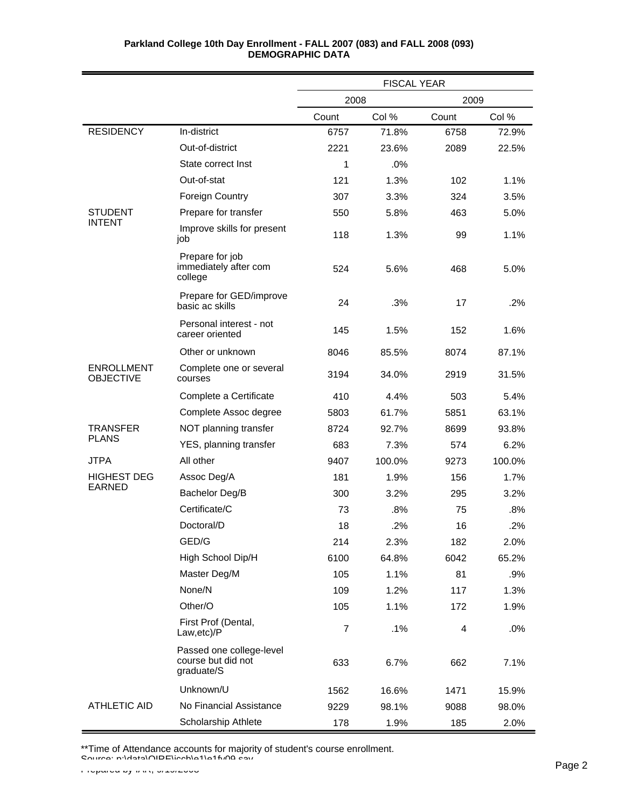|                                       |                                                              | <b>FISCAL YEAR</b> |        |       |        |
|---------------------------------------|--------------------------------------------------------------|--------------------|--------|-------|--------|
|                                       |                                                              | 2008               |        | 2009  |        |
|                                       |                                                              | Count              | Col %  | Count | Col %  |
| <b>RESIDENCY</b>                      | In-district                                                  | 6757               | 71.8%  | 6758  | 72.9%  |
|                                       | Out-of-district                                              | 2221               | 23.6%  | 2089  | 22.5%  |
|                                       | State correct Inst                                           | 1                  | .0%    |       |        |
|                                       | Out-of-stat                                                  | 121                | 1.3%   | 102   | 1.1%   |
|                                       | Foreign Country                                              | 307                | 3.3%   | 324   | 3.5%   |
| <b>STUDENT</b>                        | Prepare for transfer                                         | 550                | 5.8%   | 463   | 5.0%   |
| <b>INTENT</b>                         | Improve skills for present<br>job                            | 118                | 1.3%   | 99    | 1.1%   |
|                                       | Prepare for job<br>immediately after com<br>college          | 524                | 5.6%   | 468   | 5.0%   |
|                                       | Prepare for GED/improve<br>basic ac skills                   | 24                 | .3%    | 17    | .2%    |
|                                       | Personal interest - not<br>career oriented                   | 145                | 1.5%   | 152   | 1.6%   |
|                                       | Other or unknown                                             | 8046               | 85.5%  | 8074  | 87.1%  |
| <b>ENROLLMENT</b><br><b>OBJECTIVE</b> | Complete one or several<br>courses                           | 3194               | 34.0%  | 2919  | 31.5%  |
|                                       | Complete a Certificate                                       | 410                | 4.4%   | 503   | 5.4%   |
|                                       | Complete Assoc degree                                        | 5803               | 61.7%  | 5851  | 63.1%  |
| <b>TRANSFER</b>                       | NOT planning transfer                                        | 8724               | 92.7%  | 8699  | 93.8%  |
| <b>PLANS</b>                          | YES, planning transfer                                       | 683                | 7.3%   | 574   | 6.2%   |
| <b>JTPA</b>                           | All other                                                    | 9407               | 100.0% | 9273  | 100.0% |
| <b>HIGHEST DEG</b>                    | Assoc Deg/A                                                  | 181                | 1.9%   | 156   | 1.7%   |
| <b>EARNED</b>                         | Bachelor Deg/B                                               | 300                | 3.2%   | 295   | 3.2%   |
|                                       | Certificate/C                                                | 73                 | .8%    | 75    | .8%    |
|                                       | Doctoral/D                                                   | 18                 | .2%    | 16    | .2%    |
|                                       | GED/G                                                        | 214                | 2.3%   | 182   | 2.0%   |
|                                       | High School Dip/H                                            | 6100               | 64.8%  | 6042  | 65.2%  |
|                                       | Master Deg/M                                                 | 105                | 1.1%   | 81    | .9%    |
|                                       | None/N                                                       | 109                | 1.2%   | 117   | 1.3%   |
|                                       | Other/O                                                      | 105                | 1.1%   | 172   | 1.9%   |
|                                       | First Prof (Dental,<br>Law,etc)/P                            | $\overline{7}$     | .1%    | 4     | .0%    |
|                                       | Passed one college-level<br>course but did not<br>graduate/S | 633                | 6.7%   | 662   | 7.1%   |
|                                       | Unknown/U                                                    | 1562               | 16.6%  | 1471  | 15.9%  |
| <b>ATHLETIC AID</b>                   | No Financial Assistance                                      | 9229               | 98.1%  | 9088  | 98.0%  |
|                                       | Scholarship Athlete                                          | 178                | 1.9%   | 185   | 2.0%   |

\*\*Time of Attendance accounts for majority of student's course enrollment.

Source: p:\data\OIRE\iccb\e1\e1fy09.sav Page 2 Page 2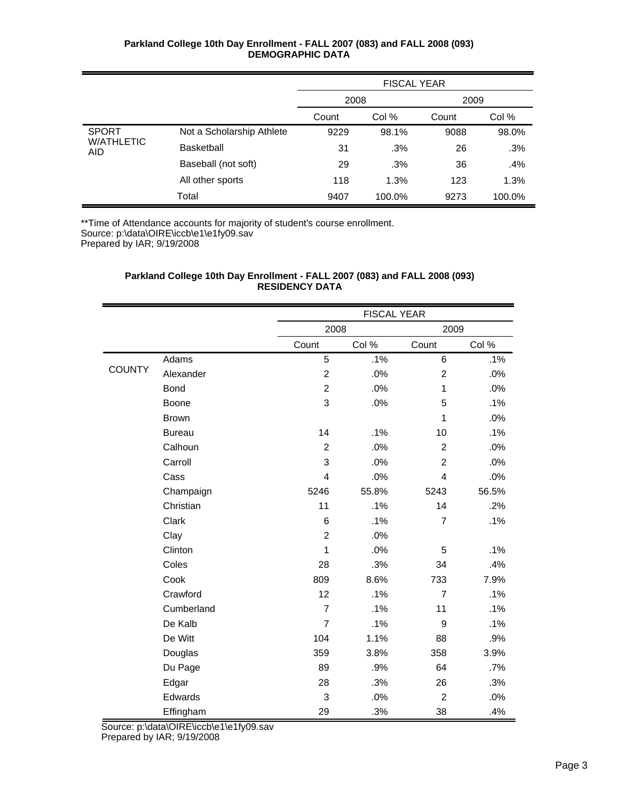|                                 |                           | <b>FISCAL YEAR</b> |        |       |        |
|---------------------------------|---------------------------|--------------------|--------|-------|--------|
|                                 |                           | 2008               |        | 2009  |        |
|                                 |                           | Count              | Col %  | Count | Col %  |
| <b>SPORT</b>                    | Not a Scholarship Athlete | 9229               | 98.1%  | 9088  | 98.0%  |
| <b>W/ATHLETIC</b><br><b>AID</b> | <b>Basketball</b>         | 31                 | .3%    | 26    | .3%    |
|                                 | Baseball (not soft)       | 29                 | .3%    | 36    | .4%    |
|                                 | All other sports          | 118                | 1.3%   | 123   | 1.3%   |
|                                 | Total                     | 9407               | 100.0% | 9273  | 100.0% |

\*\*Time of Attendance accounts for majority of student's course enrollment. Source: p:\data\OIRE\iccb\e1\e1fy09.sav

Prepared by IAR; 9/19/2008

# **Parkland College 10th Day Enrollment - FALL 2007 (083) and FALL 2008 (093) RESIDENCY DATA**

|               |               |                | <b>FISCAL YEAR</b> |                |       |
|---------------|---------------|----------------|--------------------|----------------|-------|
|               |               | 2008           |                    | 2009           |       |
|               |               | Count          | Col %              | Count          | Col % |
|               | Adams         | 5              | .1%                | 6              | .1%   |
| <b>COUNTY</b> | Alexander     | $\overline{2}$ | .0%                | $\overline{2}$ | .0%   |
|               | <b>Bond</b>   | $\overline{c}$ | .0%                | 1              | .0%   |
|               | Boone         | 3              | .0%                | 5              | .1%   |
|               | <b>Brown</b>  |                |                    | $\mathbf{1}$   | .0%   |
|               | <b>Bureau</b> | 14             | .1%                | 10             | .1%   |
|               | Calhoun       | $\overline{c}$ | .0%                | $\overline{2}$ | .0%   |
|               | Carroll       | 3              | .0%                | $\overline{c}$ | .0%   |
|               | Cass          | 4              | .0%                | $\overline{4}$ | .0%   |
|               | Champaign     | 5246           | 55.8%              | 5243           | 56.5% |
|               | Christian     | 11             | .1%                | 14             | .2%   |
|               | Clark         | 6              | .1%                | $\overline{7}$ | .1%   |
|               | Clay          | $\overline{2}$ | .0%                |                |       |
|               | Clinton       | 1              | .0%                | 5              | .1%   |
|               | Coles         | 28             | .3%                | 34             | .4%   |
|               | Cook          | 809            | 8.6%               | 733            | 7.9%  |
|               | Crawford      | 12             | .1%                | $\overline{7}$ | .1%   |
|               | Cumberland    | $\overline{7}$ | .1%                | 11             | .1%   |
|               | De Kalb       | $\overline{7}$ | .1%                | 9              | .1%   |
|               | De Witt       | 104            | 1.1%               | 88             | .9%   |
|               | Douglas       | 359            | 3.8%               | 358            | 3.9%  |
|               | Du Page       | 89             | .9%                | 64             | .7%   |
|               | Edgar         | 28             | .3%                | 26             | .3%   |
|               | Edwards       | 3              | .0%                | $\overline{2}$ | .0%   |
|               | Effingham     | 29             | .3%                | 38             | .4%   |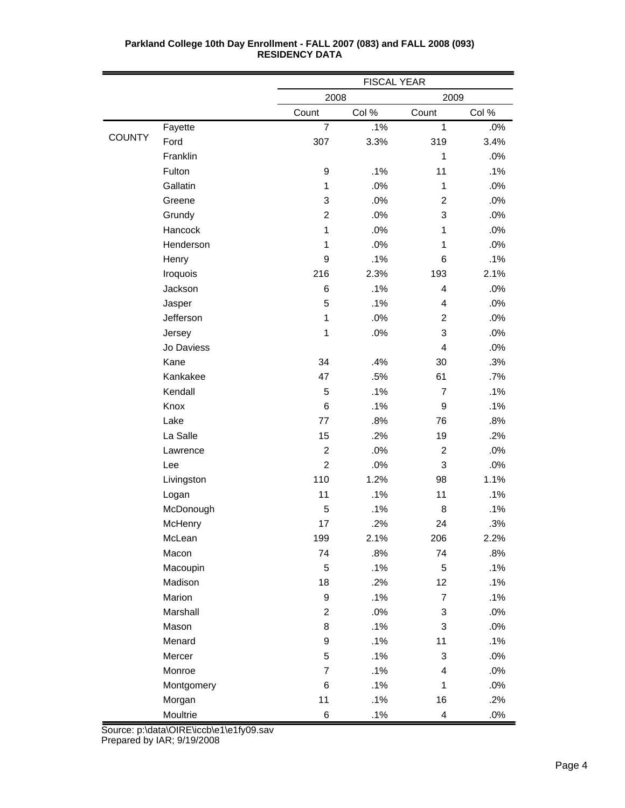|               |            | <b>FISCAL YEAR</b> |        |                          |        |
|---------------|------------|--------------------|--------|--------------------------|--------|
|               |            | 2008               |        | 2009                     |        |
|               |            | Count              | Col %  | Count                    | Col %  |
|               | Fayette    | $\overline{7}$     | .1%    | $\mathbf{1}$             | .0%    |
| <b>COUNTY</b> | Ford       | 307                | 3.3%   | 319                      | 3.4%   |
|               | Franklin   |                    |        | 1                        | .0%    |
|               | Fulton     | 9                  | .1%    | 11                       | .1%    |
|               | Gallatin   | $\mathbf{1}$       | .0%    | 1                        | .0%    |
|               | Greene     | 3                  | .0%    | $\overline{c}$           | .0%    |
|               | Grundy     | $\overline{2}$     | .0%    | 3                        | .0%    |
|               | Hancock    | $\mathbf{1}$       | .0%    | 1                        | .0%    |
|               | Henderson  | 1                  | .0%    | 1                        | .0%    |
|               | Henry      | 9                  | .1%    | 6                        | .1%    |
|               | Iroquois   | 216                | 2.3%   | 193                      | 2.1%   |
|               | Jackson    | 6                  | .1%    | 4                        | .0%    |
|               | Jasper     | 5                  | .1%    | 4                        | .0%    |
|               | Jefferson  | $\mathbf{1}$       | .0%    | $\overline{c}$           | .0%    |
|               | Jersey     | $\mathbf 1$        | .0%    | 3                        | .0%    |
|               | Jo Daviess |                    |        | 4                        | .0%    |
|               | Kane       | 34                 | .4%    | 30                       | .3%    |
|               | Kankakee   | 47                 | .5%    | 61                       | .7%    |
|               | Kendall    | 5                  | .1%    | $\overline{7}$           | .1%    |
|               | Knox       | 6                  | .1%    | 9                        | .1%    |
|               | Lake       | 77                 | .8%    | 76                       | .8%    |
|               | La Salle   | 15                 | .2%    | 19                       | .2%    |
|               | Lawrence   | $\overline{c}$     | .0%    | $\overline{c}$           | .0%    |
|               | Lee        | $\overline{2}$     | .0%    | 3                        | .0%    |
|               | Livingston | 110                | 1.2%   | 98                       | 1.1%   |
|               | Logan      | 11                 | .1%    | 11                       | .1%    |
|               | McDonough  | 5                  | .1%    | 8                        | .1%    |
|               | McHenry    | 17                 | .2%    | 24                       | .3%    |
|               | McLean     | 199                | 2.1%   | 206                      | 2.2%   |
|               | Macon      | 74                 | .8%    | 74                       | .8%    |
|               | Macoupin   | 5                  | .1%    | 5                        | .1%    |
|               | Madison    | 18                 | .2%    | 12                       | .1%    |
|               | Marion     | 9                  | .1%    | $\boldsymbol{7}$         | .1%    |
|               | Marshall   | $\overline{2}$     | $.0\%$ | 3                        | $.0\%$ |
|               | Mason      | 8                  | .1%    | 3                        | .0%    |
|               | Menard     | 9                  | .1%    | 11                       | .1%    |
|               | Mercer     | 5                  | .1%    | $\sqrt{3}$               | .0%    |
|               | Monroe     | $\overline{7}$     | .1%    | $\overline{\mathcal{L}}$ | .0%    |
|               | Montgomery | 6                  | .1%    | $\mathbf{1}$             | .0%    |
|               | Morgan     | 11                 | .1%    | 16                       | .2%    |
|               | Moultrie   | 6                  | .1%    | 4                        | .0%    |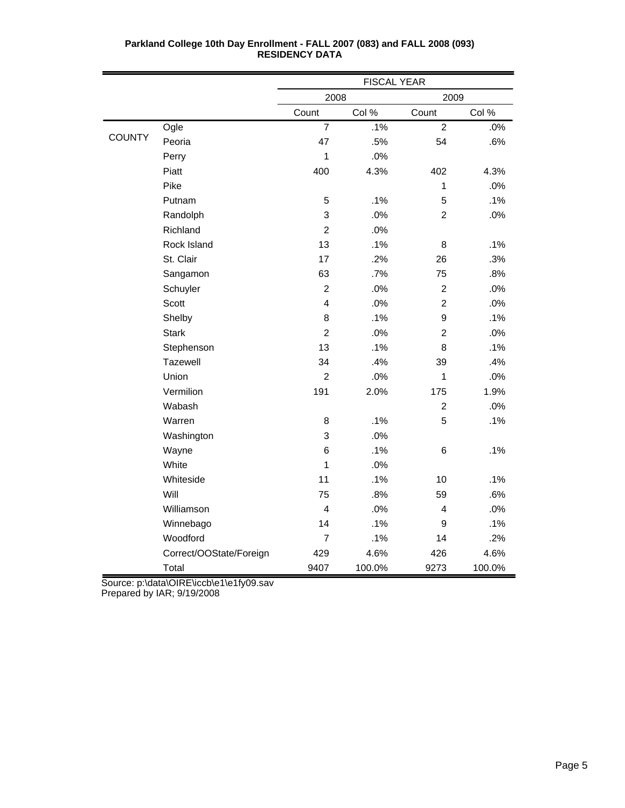|               |                         | <b>FISCAL YEAR</b>      |        |                |        |
|---------------|-------------------------|-------------------------|--------|----------------|--------|
|               |                         | 2008                    |        | 2009           |        |
|               |                         | Count                   | Col %  | Count          | Col %  |
|               | Ogle                    | $\overline{7}$          | .1%    | $\overline{2}$ | .0%    |
| <b>COUNTY</b> | Peoria                  | 47                      | .5%    | 54             | .6%    |
|               | Perry                   | 1                       | .0%    |                |        |
|               | Piatt                   | 400                     | 4.3%   | 402            | 4.3%   |
|               | Pike                    |                         |        | 1              | .0%    |
|               | Putnam                  | 5                       | .1%    | 5              | .1%    |
|               | Randolph                | 3                       | .0%    | $\overline{c}$ | .0%    |
|               | Richland                | $\overline{2}$          | .0%    |                |        |
|               | Rock Island             | 13                      | .1%    | 8              | .1%    |
|               | St. Clair               | 17                      | .2%    | 26             | .3%    |
|               | Sangamon                | 63                      | .7%    | 75             | .8%    |
|               | Schuyler                | $\overline{2}$          | .0%    | $\overline{2}$ | .0%    |
|               | Scott                   | $\overline{\mathbf{4}}$ | .0%    | $\overline{c}$ | .0%    |
|               | Shelby                  | 8                       | .1%    | 9              | .1%    |
|               | <b>Stark</b>            | $\overline{2}$          | .0%    | $\mathbf 2$    | .0%    |
|               | Stephenson              | 13                      | .1%    | 8              | .1%    |
|               | Tazewell                | 34                      | .4%    | 39             | .4%    |
|               | Union                   | $\overline{2}$          | .0%    | 1              | .0%    |
|               | Vermilion               | 191                     | 2.0%   | 175            | 1.9%   |
|               | Wabash                  |                         |        | $\overline{c}$ | .0%    |
|               | Warren                  | 8                       | .1%    | 5              | .1%    |
|               | Washington              | 3                       | .0%    |                |        |
|               | Wayne                   | $6\phantom{1}6$         | .1%    | $\,6$          | .1%    |
|               | White                   | 1                       | .0%    |                |        |
|               | Whiteside               | 11                      | .1%    | 10             | .1%    |
|               | Will                    | 75                      | .8%    | 59             | .6%    |
|               | Williamson              | $\overline{4}$          | .0%    | 4              | .0%    |
|               | Winnebago               | 14                      | .1%    | 9              | .1%    |
|               | Woodford                | $\overline{7}$          | .1%    | 14             | .2%    |
|               | Correct/OOState/Foreign | 429                     | 4.6%   | 426            | 4.6%   |
|               | Total                   | 9407                    | 100.0% | 9273           | 100.0% |

Source: p:\data\OIRE\iccb\e1\e1fy09.sav

Prepared by IAR; 9/19/2008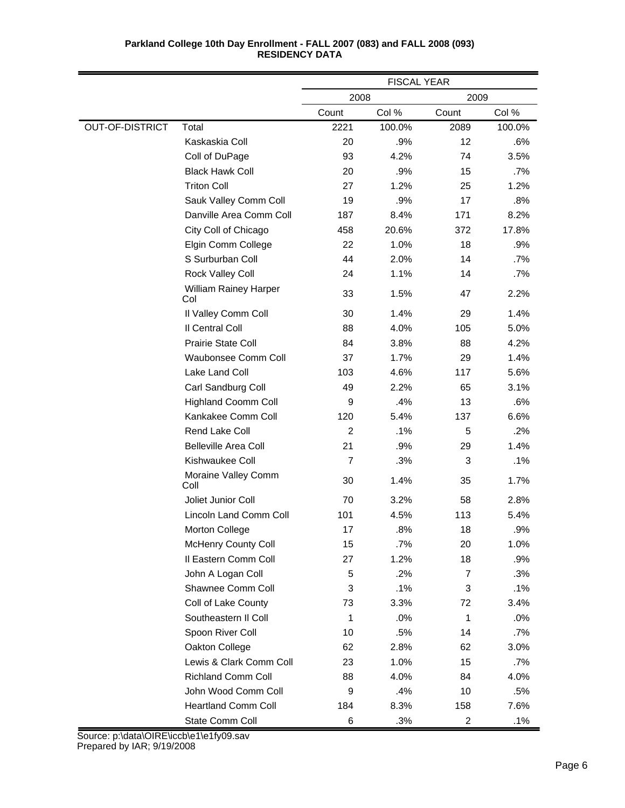|                        |                                     | <b>FISCAL YEAR</b> |        |                |        |
|------------------------|-------------------------------------|--------------------|--------|----------------|--------|
|                        |                                     | 2008               |        | 2009           |        |
|                        |                                     | Count              | Col %  | Count          | Col %  |
| <b>OUT-OF-DISTRICT</b> | Total                               | 2221               | 100.0% | 2089           | 100.0% |
|                        | Kaskaskia Coll                      | 20                 | .9%    | 12             | .6%    |
|                        | Coll of DuPage                      | 93                 | 4.2%   | 74             | 3.5%   |
|                        | <b>Black Hawk Coll</b>              | 20                 | .9%    | 15             | .7%    |
|                        | <b>Triton Coll</b>                  | 27                 | 1.2%   | 25             | 1.2%   |
|                        | Sauk Valley Comm Coll               | 19                 | .9%    | 17             | .8%    |
|                        | Danville Area Comm Coll             | 187                | 8.4%   | 171            | 8.2%   |
|                        | City Coll of Chicago                | 458                | 20.6%  | 372            | 17.8%  |
|                        | Elgin Comm College                  | 22                 | 1.0%   | 18             | .9%    |
|                        | S Surburban Coll                    | 44                 | 2.0%   | 14             | .7%    |
|                        | Rock Valley Coll                    | 24                 | 1.1%   | 14             | .7%    |
|                        | <b>William Rainey Harper</b><br>Col | 33                 | 1.5%   | 47             | 2.2%   |
|                        | Il Valley Comm Coll                 | 30                 | 1.4%   | 29             | 1.4%   |
|                        | Il Central Coll                     | 88                 | 4.0%   | 105            | 5.0%   |
|                        | Prairie State Coll                  | 84                 | 3.8%   | 88             | 4.2%   |
|                        | Waubonsee Comm Coll                 | 37                 | 1.7%   | 29             | 1.4%   |
|                        | Lake Land Coll                      | 103                | 4.6%   | 117            | 5.6%   |
|                        | Carl Sandburg Coll                  | 49                 | 2.2%   | 65             | 3.1%   |
|                        | <b>Highland Coomm Coll</b>          | 9                  | .4%    | 13             | .6%    |
|                        | Kankakee Comm Coll                  | 120                | 5.4%   | 137            | 6.6%   |
|                        | Rend Lake Coll                      | $\overline{2}$     | .1%    | 5              | .2%    |
|                        | <b>Belleville Area Coll</b>         | 21                 | .9%    | 29             | 1.4%   |
|                        | Kishwaukee Coll                     | 7                  | .3%    | 3              | .1%    |
|                        | Moraine Valley Comm<br>Coll         | 30                 | 1.4%   | 35             | 1.7%   |
|                        | Joliet Junior Coll                  | 70                 | 3.2%   | 58             | 2.8%   |
|                        | Lincoln Land Comm Coll              | 101                | 4.5%   | 113            | 5.4%   |
|                        | <b>Morton College</b>               | 17                 | .8%    | 18             | .9%    |
|                        | <b>McHenry County Coll</b>          | 15                 | .7%    | 20             | 1.0%   |
|                        | Il Eastern Comm Coll                | 27                 | 1.2%   | 18             | .9%    |
|                        | John A Logan Coll                   | 5                  | .2%    | $\overline{7}$ | .3%    |
|                        | Shawnee Comm Coll                   | 3                  | .1%    | 3              | .1%    |
|                        | Coll of Lake County                 | 73                 | 3.3%   | 72             | 3.4%   |
|                        | Southeastern II Coll                | 1                  | .0%    | $\mathbf{1}$   | .0%    |
|                        | Spoon River Coll                    | 10                 | .5%    | 14             | .7%    |
|                        | Oakton College                      | 62                 | 2.8%   | 62             | 3.0%   |
|                        | Lewis & Clark Comm Coll             | 23                 | 1.0%   | 15             | .7%    |
|                        | <b>Richland Comm Coll</b>           | 88                 | 4.0%   | 84             | 4.0%   |
|                        | John Wood Comm Coll                 | $\boldsymbol{9}$   | .4%    | 10             | .5%    |
|                        | <b>Heartland Comm Coll</b>          | 184                | 8.3%   | 158            | 7.6%   |
|                        | State Comm Coll                     | $\,6$              | .3%    | $\overline{c}$ | .1%    |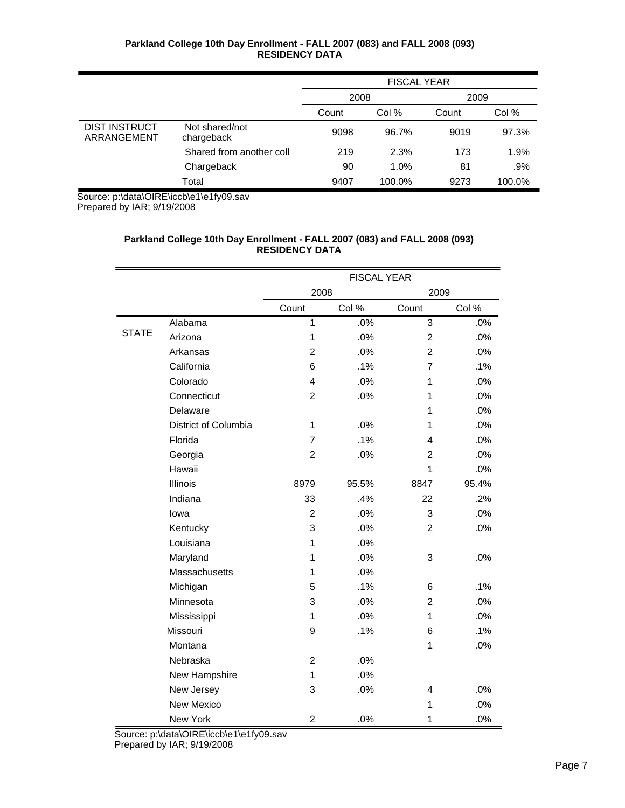|                                     |                              | <b>FISCAL YEAR</b> |        |       |        |
|-------------------------------------|------------------------------|--------------------|--------|-------|--------|
|                                     |                              | 2008<br>2009       |        |       |        |
|                                     |                              | Count              | Col %  | Count | Col %  |
| <b>DIST INSTRUCT</b><br>ARRANGEMENT | Not shared/not<br>chargeback | 9098               | 96.7%  | 9019  | 97.3%  |
|                                     | Shared from another coll     | 219                | 2.3%   | 173   | 1.9%   |
|                                     | Chargeback                   | 90                 | 1.0%   | 81    | $.9\%$ |
|                                     | Total                        | 9407               | 100.0% | 9273  | 100.0% |

Source: p:\data\OIRE\iccb\e1\e1fy09.sav

Prepared by IAR; 9/19/2008

# **Parkland College 10th Day Enrollment - FALL 2007 (083) and FALL 2008 (093) RESIDENCY DATA**

|              |                      | <b>FISCAL YEAR</b>      |       |                |       |
|--------------|----------------------|-------------------------|-------|----------------|-------|
|              |                      | 2008                    |       | 2009           |       |
|              |                      | Count                   | Col % | Count          | Col % |
|              | Alabama              | $\mathbf{1}$            | .0%   | $\overline{3}$ | .0%   |
| <b>STATE</b> | Arizona              | $\mathbf{1}$            | .0%   | $\overline{2}$ | .0%   |
|              | Arkansas             | $\overline{2}$          | .0%   | $\overline{2}$ | .0%   |
|              | California           | 6                       | .1%   | $\overline{7}$ | .1%   |
|              | Colorado             | 4                       | .0%   | 1              | .0%   |
|              | Connecticut          | $\overline{2}$          | .0%   | 1              | .0%   |
|              | Delaware             |                         |       | 1              | .0%   |
|              | District of Columbia | $\mathbf{1}$            | .0%   | 1              | .0%   |
|              | Florida              | $\overline{7}$          | .1%   | 4              | .0%   |
|              | Georgia              | $\overline{c}$          | .0%   | $\overline{2}$ | .0%   |
|              | Hawaii               |                         |       | 1              | .0%   |
|              | Illinois             | 8979                    | 95.5% | 8847           | 95.4% |
|              | Indiana              | 33                      | .4%   | 22             | .2%   |
|              | lowa                 | $\overline{c}$          | .0%   | 3              | .0%   |
|              | Kentucky             | 3                       | .0%   | $\overline{2}$ | .0%   |
|              | Louisiana            | $\mathbf{1}$            | .0%   |                |       |
|              | Maryland             | 1                       | .0%   | 3              | .0%   |
|              | Massachusetts        | 1                       | .0%   |                |       |
|              | Michigan             | 5                       | .1%   | 6              | .1%   |
|              | Minnesota            | 3                       | .0%   | $\overline{2}$ | .0%   |
|              | Mississippi          | 1                       | .0%   | $\mathbf{1}$   | .0%   |
|              | Missouri             | 9                       | .1%   | 6              | .1%   |
|              | Montana              |                         |       | $\mathbf{1}$   | .0%   |
|              | Nebraska             | $\overline{c}$          | .0%   |                |       |
|              | New Hampshire        | $\mathbf{1}$            | .0%   |                |       |
|              | New Jersey           | 3                       | .0%   | 4              | .0%   |
|              | <b>New Mexico</b>    |                         |       | $\mathbf{1}$   | .0%   |
|              | New York             | $\overline{\mathbf{c}}$ | .0%   | 1              | .0%   |

Source: p:\data\OIRE\iccb\e1\e1fy09.sav

Prepared by IAR; 9/19/2008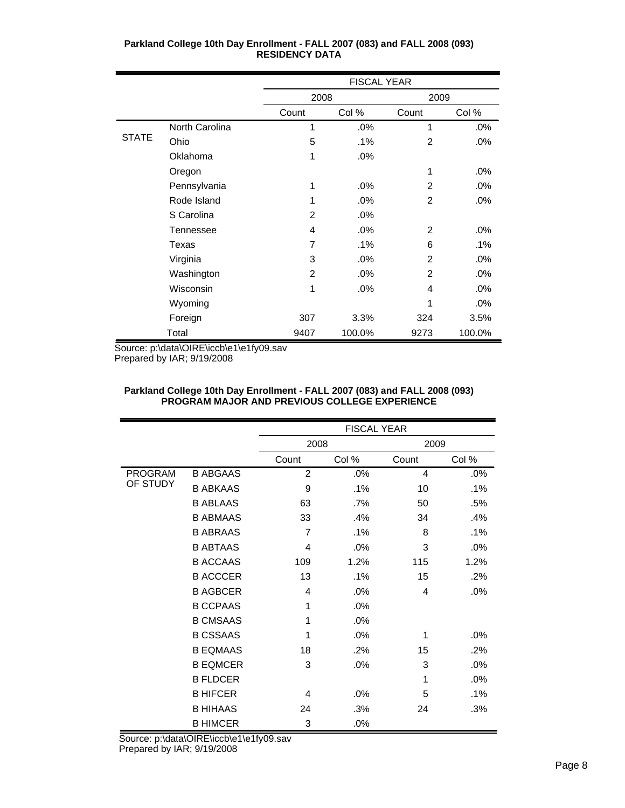|              |                | <b>FISCAL YEAR</b> |        |                |        |
|--------------|----------------|--------------------|--------|----------------|--------|
|              |                | 2008               |        | 2009           |        |
|              |                | Count              | Col %  | Count          | Col %  |
|              | North Carolina | 1                  | .0%    | 1              | .0%    |
| <b>STATE</b> | Ohio           | 5                  | .1%    | 2              | .0%    |
|              | Oklahoma       | 1                  | .0%    |                |        |
|              | Oregon         |                    |        | 1              | $.0\%$ |
|              | Pennsylvania   | 1                  | .0%    | 2              | .0%    |
|              | Rode Island    | 1                  | .0%    | $\overline{2}$ | .0%    |
|              | S Carolina     | $\overline{2}$     | .0%    |                |        |
|              | Tennessee      | $\overline{4}$     | .0%    | 2              | .0%    |
|              | Texas          | 7                  | .1%    | 6              | .1%    |
|              | Virginia       | 3                  | .0%    | 2              | .0%    |
|              | Washington     | $\overline{2}$     | .0%    | 2              | .0%    |
|              | Wisconsin      | 1                  | .0%    | 4              | .0%    |
|              | Wyoming        |                    |        | 1              | .0%    |
|              | Foreign        | 307                | 3.3%   | 324            | 3.5%   |
|              | Total          | 9407               | 100.0% | 9273           | 100.0% |

Source: p:\data\OIRE\iccb\e1\e1fy09.sav Prepared by IAR; 9/19/2008

|                |                 |                | <b>FISCAL YEAR</b> |       |        |  |  |
|----------------|-----------------|----------------|--------------------|-------|--------|--|--|
|                |                 | 2008           |                    | 2009  |        |  |  |
|                |                 | Count          | Col %              | Count | Col %  |  |  |
| <b>PROGRAM</b> | <b>B ABGAAS</b> | $\overline{2}$ | .0%                | 4     | .0%    |  |  |
| OF STUDY       | <b>B ABKAAS</b> | 9              | $.1\%$             | 10    | .1%    |  |  |
|                | <b>B ABLAAS</b> | 63             | $.7\%$             | 50    | .5%    |  |  |
|                | <b>B ABMAAS</b> | 33             | .4%                | 34    | .4%    |  |  |
|                | <b>B ABRAAS</b> | $\overline{7}$ | .1%                | 8     | $.1\%$ |  |  |
|                | <b>B ABTAAS</b> | 4              | .0%                | 3     | .0%    |  |  |
|                | <b>B ACCAAS</b> | 109            | 1.2%               | 115   | 1.2%   |  |  |
|                | <b>B ACCCER</b> | 13             | .1%                | 15    | .2%    |  |  |
|                | <b>B AGBCER</b> | 4              | .0%                | 4     | .0%    |  |  |
|                | <b>B CCPAAS</b> | 1              | .0%                |       |        |  |  |
|                | <b>B CMSAAS</b> | 1              | .0%                |       |        |  |  |
|                | <b>B CSSAAS</b> | 1              | .0%                | 1     | .0%    |  |  |
|                | <b>B EQMAAS</b> | 18             | .2%                | 15    | .2%    |  |  |
|                | <b>B EQMCER</b> | 3              | .0%                | 3     | .0%    |  |  |
|                | <b>B FLDCER</b> |                |                    | 1     | .0%    |  |  |
|                | <b>B HIFCER</b> | 4              | .0%                | 5     | $.1\%$ |  |  |
|                | <b>B HIHAAS</b> | 24             | .3%                | 24    | .3%    |  |  |
|                | <b>B HIMCER</b> | 3              | .0%                |       |        |  |  |

#### **Parkland College 10th Day Enrollment - FALL 2007 (083) and FALL 2008 (093) PROGRAM MAJOR AND PREVIOUS COLLEGE EXPERIENCE**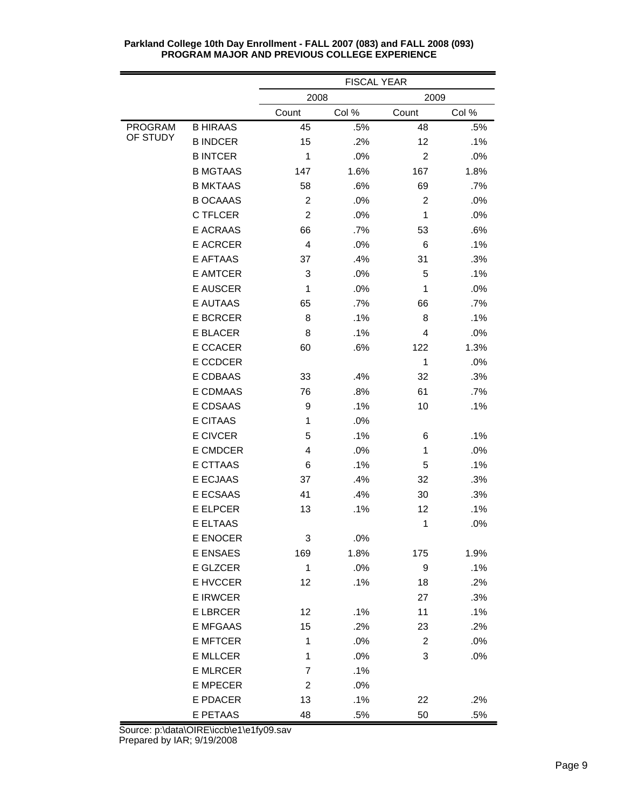|                |                 | <b>FISCAL YEAR</b> |       |                  |        |
|----------------|-----------------|--------------------|-------|------------------|--------|
|                |                 | 2008               |       | 2009             |        |
|                |                 | Count              | Col % | Count            | Col %  |
| <b>PROGRAM</b> | <b>B HIRAAS</b> | 45                 | .5%   | 48               | .5%    |
| OF STUDY       | <b>B INDCER</b> | 15                 | .2%   | 12               | .1%    |
|                | <b>BINTCER</b>  | 1                  | .0%   | $\overline{2}$   | .0%    |
|                | <b>B MGTAAS</b> | 147                | 1.6%  | 167              | 1.8%   |
|                | <b>B MKTAAS</b> | 58                 | .6%   | 69               | .7%    |
|                | <b>B OCAAAS</b> | $\overline{2}$     | .0%   | $\overline{2}$   | .0%    |
|                | C TFLCER        | $\overline{2}$     | .0%   | 1                | .0%    |
|                | <b>E ACRAAS</b> | 66                 | .7%   | 53               | .6%    |
|                | E ACRCER        | 4                  | .0%   | 6                | .1%    |
|                | <b>E AFTAAS</b> | 37                 | .4%   | 31               | .3%    |
|                | <b>E AMTCER</b> | 3                  | .0%   | 5                | .1%    |
|                | <b>E AUSCER</b> | $\mathbf{1}$       | .0%   | 1                | .0%    |
|                | E AUTAAS        | 65                 | .7%   | 66               | .7%    |
|                | <b>E BCRCER</b> | 8                  | .1%   | 8                | .1%    |
|                | E BLACER        | 8                  | .1%   | 4                | .0%    |
|                | E CCACER        | 60                 | .6%   | 122              | 1.3%   |
|                | E CCDCER        |                    |       | $\mathbf{1}$     | .0%    |
|                | E CDBAAS        | 33                 | .4%   | 32               | .3%    |
|                | E CDMAAS        | 76                 | .8%   | 61               | $.7\%$ |
|                | E CDSAAS        | 9                  | .1%   | 10               | .1%    |
|                | <b>E CITAAS</b> | $\mathbf{1}$       | .0%   |                  |        |
|                | <b>E CIVCER</b> | 5                  | .1%   | 6                | .1%    |
|                | E CMDCER        | 4                  | .0%   | 1                | .0%    |
|                | E CTTAAS        | 6                  | .1%   | 5                | .1%    |
|                | E ECJAAS        | 37                 | .4%   | 32               | .3%    |
|                | E ECSAAS        | 41                 | .4%   | 30               | .3%    |
|                | E ELPCER        | 13                 | .1%   | 12               | .1%    |
|                | E ELTAAS        |                    |       | 1                | .0%    |
|                | E ENOCER        | 3                  | .0%   |                  |        |
|                | <b>E ENSAES</b> | 169                | 1.8%  | 175              | 1.9%   |
|                | E GLZCER        | $\mathbf{1}$       | .0%   | $\boldsymbol{9}$ | .1%    |
|                | E HVCCER        | 12                 | .1%   | 18               | .2%    |
|                | <b>E IRWCER</b> |                    |       | 27               | .3%    |
|                | <b>E LBRCER</b> | 12                 | .1%   | 11               | .1%    |
|                | <b>E MFGAAS</b> | 15                 | .2%   | 23               | .2%    |
|                | <b>E MFTCER</b> | 1                  | .0%   | $\overline{2}$   | .0%    |
|                | <b>E MLLCER</b> | $\mathbf 1$        | .0%   | 3                | .0%    |
|                | <b>E MLRCER</b> | 7                  | .1%   |                  |        |
|                | <b>E MPECER</b> | $\overline{2}$     | .0%   |                  |        |
|                | E PDACER        | 13                 | .1%   | 22               | .2%    |
|                | E PETAAS        | 48                 | .5%   | 50               | .5%    |

Source: p:\data\OIRE\iccb\e1\e1fy09.sav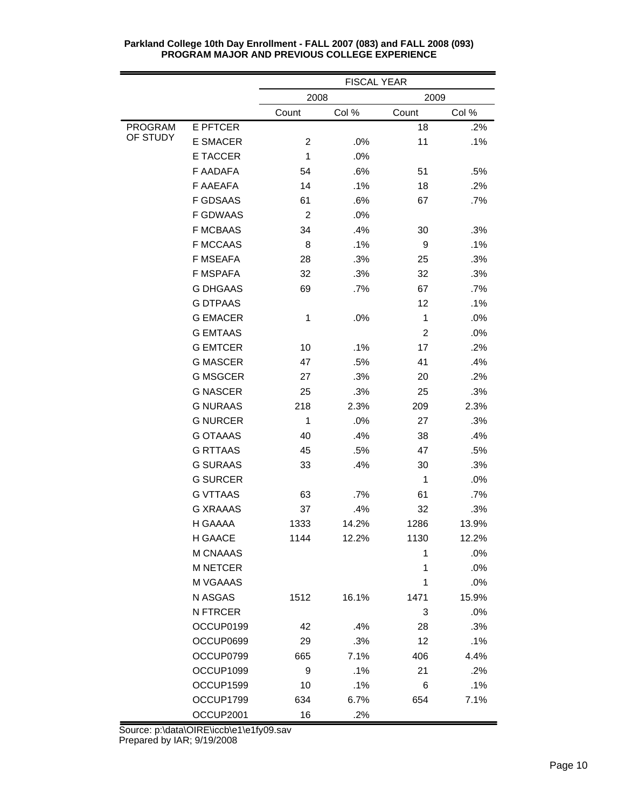|                |                 | <b>FISCAL YEAR</b> |       |                |       |
|----------------|-----------------|--------------------|-------|----------------|-------|
|                |                 | 2008<br>2009       |       |                |       |
|                |                 | Count              | Col % | Count          | Col % |
| <b>PROGRAM</b> | <b>E PFTCER</b> |                    |       | 18             | .2%   |
| OF STUDY       | <b>E SMACER</b> | 2                  | .0%   | 11             | .1%   |
|                | <b>E TACCER</b> | 1                  | .0%   |                |       |
|                | F AADAFA        | 54                 | .6%   | 51             | .5%   |
|                | F AAEAFA        | 14                 | .1%   | 18             | .2%   |
|                | <b>F GDSAAS</b> | 61                 | .6%   | 67             | .7%   |
|                | <b>F GDWAAS</b> | $\overline{c}$     | .0%   |                |       |
|                | <b>F MCBAAS</b> | 34                 | .4%   | 30             | .3%   |
|                | <b>F MCCAAS</b> | 8                  | .1%   | 9              | .1%   |
|                | <b>F MSEAFA</b> | 28                 | .3%   | 25             | .3%   |
|                | <b>F MSPAFA</b> | 32                 | .3%   | 32             | .3%   |
|                | <b>G DHGAAS</b> | 69                 | .7%   | 67             | .7%   |
|                | <b>G DTPAAS</b> |                    |       | 12             | .1%   |
|                | <b>G EMACER</b> | 1                  | .0%   | 1              | .0%   |
|                | <b>G EMTAAS</b> |                    |       | $\overline{2}$ | .0%   |
|                | <b>G EMTCER</b> | 10                 | .1%   | 17             | .2%   |
|                | <b>G MASCER</b> | 47                 | .5%   | 41             | .4%   |
|                | <b>G MSGCER</b> | 27                 | .3%   | 20             | .2%   |
|                | <b>G NASCER</b> | 25                 | .3%   | 25             | .3%   |
|                | <b>G NURAAS</b> | 218                | 2.3%  | 209            | 2.3%  |
|                | <b>G NURCER</b> | 1                  | .0%   | 27             | .3%   |
|                | <b>G OTAAAS</b> | 40                 | .4%   | 38             | .4%   |
|                | <b>G RTTAAS</b> | 45                 | .5%   | 47             | .5%   |
|                | <b>G SURAAS</b> | 33                 | .4%   | 30             | .3%   |
|                | <b>G SURCER</b> |                    |       | 1              | .0%   |
|                | <b>G VTTAAS</b> | 63                 | .7%   | 61             | .7%   |
|                | <b>G XRAAAS</b> | 37                 | .4%   | 32             | .3%   |
|                | H GAAAA         | 1333               | 14.2% | 1286           | 13.9% |
|                | <b>H GAACE</b>  | 1144               | 12.2% | 1130           | 12.2% |
|                | M CNAAAS        |                    |       | 1              | .0%   |
|                | <b>M NETCER</b> |                    |       | 1              | .0%   |
|                | M VGAAAS        |                    |       | 1              | .0%   |
|                | N ASGAS         | 1512               | 16.1% | 1471           | 15.9% |
|                | N FTRCER        |                    |       | 3              | .0%   |
|                | OCCUP0199       | 42                 | .4%   | 28             | .3%   |
|                | OCCUP0699       | 29                 | .3%   | 12             | .1%   |
|                | OCCUP0799       | 665                | 7.1%  | 406            | 4.4%  |
|                | OCCUP1099       | 9                  | .1%   | 21             | .2%   |
|                | OCCUP1599       | 10                 | .1%   | 6              | .1%   |
|                | OCCUP1799       | 634                | 6.7%  | 654            | 7.1%  |
|                | OCCUP2001       | 16                 | .2%   |                |       |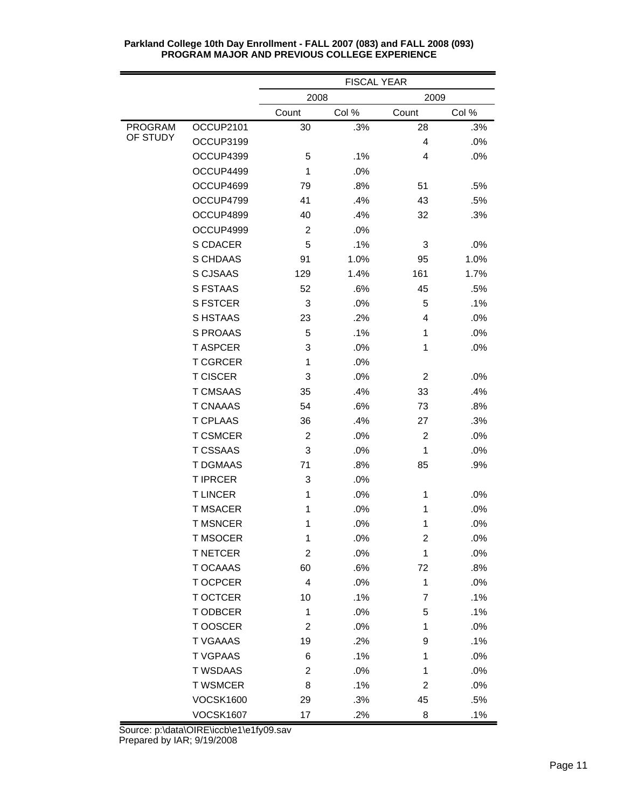|                |                  | <b>FISCAL YEAR</b> |       |                         |       |
|----------------|------------------|--------------------|-------|-------------------------|-------|
|                |                  | 2008<br>2009       |       |                         |       |
|                |                  | Count              | Col % | Count                   | Col % |
| <b>PROGRAM</b> | OCCUP2101        | 30                 | .3%   | 28                      | .3%   |
| OF STUDY       | OCCUP3199        |                    |       | 4                       | .0%   |
|                | OCCUP4399        | 5                  | .1%   | 4                       | .0%   |
|                | OCCUP4499        | 1                  | .0%   |                         |       |
|                | OCCUP4699        | 79                 | .8%   | 51                      | .5%   |
|                | OCCUP4799        | 41                 | .4%   | 43                      | .5%   |
|                | OCCUP4899        | 40                 | .4%   | 32                      | .3%   |
|                | OCCUP4999        | $\overline{c}$     | .0%   |                         |       |
|                | S CDACER         | 5                  | .1%   | 3                       | .0%   |
|                | S CHDAAS         | 91                 | 1.0%  | 95                      | 1.0%  |
|                | S CJSAAS         | 129                | 1.4%  | 161                     | 1.7%  |
|                | <b>S FSTAAS</b>  | 52                 | .6%   | 45                      | .5%   |
|                | <b>S FSTCER</b>  | 3                  | .0%   | 5                       | .1%   |
|                | S HSTAAS         | 23                 | .2%   | 4                       | .0%   |
|                | <b>S PROAAS</b>  | 5                  | .1%   | 1                       | .0%   |
|                | <b>TASPCER</b>   | 3                  | .0%   | 1                       | .0%   |
|                | <b>T CGRCER</b>  | 1                  | .0%   |                         |       |
|                | <b>T CISCER</b>  | 3                  | .0%   | $\overline{c}$          | .0%   |
|                | <b>T CMSAAS</b>  | 35                 | .4%   | 33                      | .4%   |
|                | <b>T CNAAAS</b>  | 54                 | .6%   | 73                      | .8%   |
|                | <b>T CPLAAS</b>  | 36                 | .4%   | 27                      | .3%   |
|                | <b>T CSMCER</b>  | 2                  | .0%   | $\overline{2}$          | .0%   |
|                | <b>T CSSAAS</b>  | 3                  | .0%   | 1                       | .0%   |
|                | <b>T DGMAAS</b>  | 71                 | .8%   | 85                      | .9%   |
|                | <b>T IPRCER</b>  | 3                  | .0%   |                         |       |
|                | <b>TLINCER</b>   | 1                  | .0%   | 1                       | .0%   |
|                | <b>T MSACER</b>  | 1                  | .0%   | 1                       | .0%   |
|                | <b>T MSNCER</b>  | 1                  | .0%   | 1                       | .0%   |
|                | <b>T MSOCER</b>  | 1                  | .0%   | $\overline{\mathbf{c}}$ | .0%   |
|                | <b>T NETCER</b>  | $\overline{c}$     | .0%   | 1                       | .0%   |
|                | T OCAAAS         | 60                 | .6%   | 72                      | .8%   |
|                | T OCPCER         | 4                  | .0%   | 1                       | .0%   |
|                | <b>T OCTCER</b>  | 10                 | .1%   | $\overline{7}$          | .1%   |
|                | T ODBCER         | 1                  | .0%   | 5                       | .1%   |
|                | T OOSCER         | 2                  | .0%   | 1                       | .0%   |
|                | <b>T VGAAAS</b>  | 19                 | .2%   | 9                       | .1%   |
|                | <b>TVGPAAS</b>   | 6                  | .1%   | 1                       | .0%   |
|                | <b>T WSDAAS</b>  | 2                  | .0%   | 1                       | .0%   |
|                | <b>T WSMCER</b>  | 8                  | .1%   | $\overline{\mathbf{c}}$ | .0%   |
|                | <b>VOCSK1600</b> | 29                 | .3%   | 45                      | .5%   |
|                | <b>VOCSK1607</b> | 17                 | .2%   | 8                       | .1%   |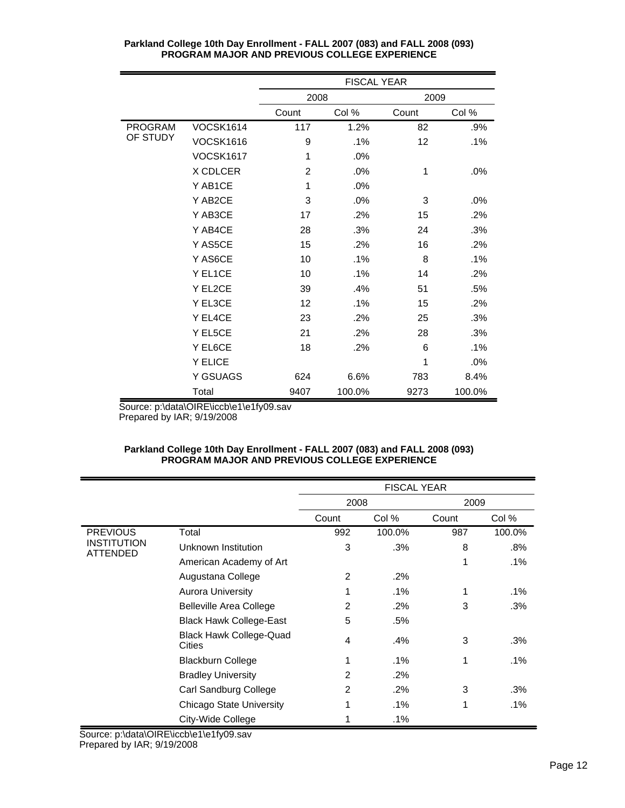|                |                  | <b>FISCAL YEAR</b> |        |       |        |  |
|----------------|------------------|--------------------|--------|-------|--------|--|
|                |                  | 2008               |        | 2009  |        |  |
|                |                  | Count              | Col %  | Count | Col %  |  |
| <b>PROGRAM</b> | VOCSK1614        | 117                | 1.2%   | 82    | .9%    |  |
| OF STUDY       | <b>VOCSK1616</b> | 9                  | .1%    | 12    | .1%    |  |
|                | <b>VOCSK1617</b> | 1                  | .0%    |       |        |  |
|                | X CDLCER         | $\overline{2}$     | .0%    | 1     | .0%    |  |
|                | Y AB1CE          | 1                  | .0%    |       |        |  |
|                | Y AB2CE          | 3                  | .0%    | 3     | $.0\%$ |  |
|                | Y AB3CE          | 17                 | .2%    | 15    | .2%    |  |
|                | Y AB4CE          | 28                 | .3%    | 24    | .3%    |  |
|                | Y AS5CE          | 15                 | .2%    | 16    | .2%    |  |
|                | Y AS6CE          | 10                 | $.1\%$ | 8     | .1%    |  |
|                | Y EL1CE          | 10                 | .1%    | 14    | .2%    |  |
|                | Y EL2CE          | 39                 | .4%    | 51    | .5%    |  |
|                | Y EL3CE          | 12                 | .1%    | 15    | .2%    |  |
|                | Y EL4CE          | 23                 | .2%    | 25    | .3%    |  |
|                | Y EL5CE          | 21                 | .2%    | 28    | .3%    |  |
|                | Y EL6CE          | 18                 | .2%    | 6     | .1%    |  |
|                | Y ELICE          |                    |        | 1     | .0%    |  |
|                | Y GSUAGS         | 624                | 6.6%   | 783   | 8.4%   |  |
|                | Total            | 9407               | 100.0% | 9273  | 100.0% |  |

Source: p:\data\OIRE\iccb\e1\e1fy09.sav Prepared by IAR; 9/19/2008

# **Parkland College 10th Day Enrollment - FALL 2007 (083) and FALL 2008 (093) PROGRAM MAJOR AND PREVIOUS COLLEGE EXPERIENCE**

|                         |                                          | <b>FISCAL YEAR</b> |        |       |        |
|-------------------------|------------------------------------------|--------------------|--------|-------|--------|
|                         |                                          | 2008               |        | 2009  |        |
|                         |                                          | Count              | Col %  | Count | Col %  |
| <b>PREVIOUS</b>         | Total                                    | 992                | 100.0% | 987   | 100.0% |
| INSTITUTION<br>ATTENDED | Unknown Institution                      | 3                  | .3%    | 8     | .8%    |
|                         | American Academy of Art                  |                    |        | 1     | .1%    |
|                         | Augustana College                        | 2                  | .2%    |       |        |
|                         | <b>Aurora University</b>                 |                    | $.1\%$ | 1     | $.1\%$ |
|                         | <b>Belleville Area College</b>           | 2                  | .2%    | 3     | .3%    |
|                         | <b>Black Hawk College-East</b>           | 5                  | .5%    |       |        |
|                         | <b>Black Hawk College-Quad</b><br>Cities | 4                  | .4%    | 3     | .3%    |
|                         | <b>Blackburn College</b>                 | 1                  | $.1\%$ | 1     | .1%    |
|                         | <b>Bradley University</b>                | 2                  | .2%    |       |        |
|                         | Carl Sandburg College                    | 2                  | .2%    | 3     | .3%    |
|                         | <b>Chicago State University</b>          |                    | $.1\%$ | 1     | .1%    |
|                         | City-Wide College                        |                    | $.1\%$ |       |        |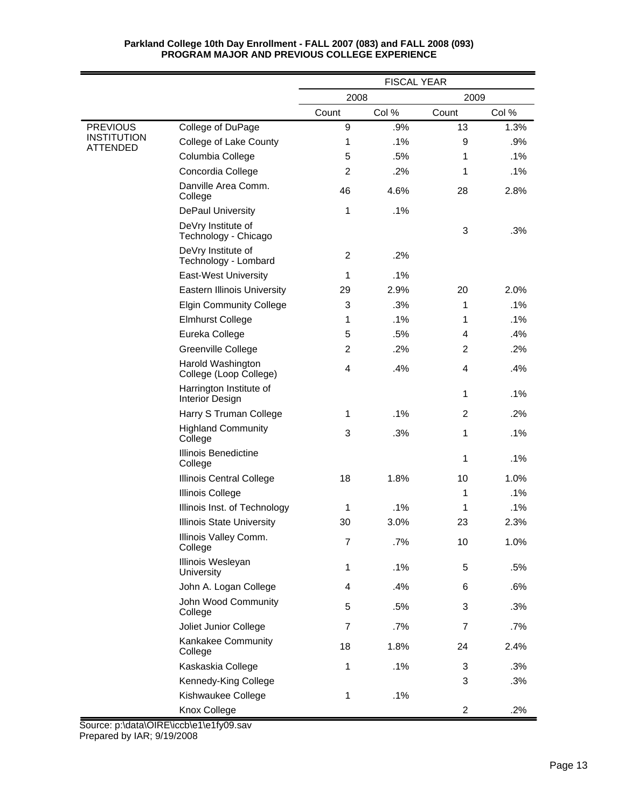|                                       |                                                   | <b>FISCAL YEAR</b> |       |                |       |
|---------------------------------------|---------------------------------------------------|--------------------|-------|----------------|-------|
|                                       |                                                   | 2008<br>2009       |       |                |       |
|                                       |                                                   | Count              | Col % | Count          | Col % |
| <b>PREVIOUS</b>                       | College of DuPage                                 | 9                  | .9%   | 13             | 1.3%  |
| <b>INSTITUTION</b><br><b>ATTENDED</b> | College of Lake County                            | 1                  | .1%   | 9              | .9%   |
|                                       | Columbia College                                  | 5                  | .5%   | 1              | .1%   |
|                                       | Concordia College                                 | $\overline{2}$     | .2%   | 1              | .1%   |
|                                       | Danville Area Comm.<br>College                    | 46                 | 4.6%  | 28             | 2.8%  |
|                                       | <b>DePaul University</b>                          | 1                  | .1%   |                |       |
|                                       | DeVry Institute of<br>Technology - Chicago        |                    |       | 3              | .3%   |
|                                       | DeVry Institute of<br>Technology - Lombard        | 2                  | .2%   |                |       |
|                                       | <b>East-West University</b>                       | $\mathbf{1}$       | .1%   |                |       |
|                                       | <b>Eastern Illinois University</b>                | 29                 | 2.9%  | 20             | 2.0%  |
|                                       | <b>Elgin Community College</b>                    | 3                  | .3%   | 1              | .1%   |
|                                       | <b>Elmhurst College</b>                           | 1                  | .1%   | 1              | .1%   |
|                                       | Eureka College                                    | 5                  | .5%   | 4              | .4%   |
|                                       | Greenville College                                | $\overline{c}$     | .2%   | 2              | .2%   |
|                                       | Harold Washington<br>College (Loop College)       | 4                  | .4%   | 4              | .4%   |
|                                       | Harrington Institute of<br><b>Interior Design</b> |                    |       | 1              | .1%   |
|                                       | Harry S Truman College                            | 1                  | .1%   | $\overline{c}$ | .2%   |
|                                       | <b>Highland Community</b><br>College              | 3                  | .3%   | 1              | .1%   |
|                                       | Illinois Benedictine<br>College                   |                    |       | 1              | .1%   |
|                                       | Illinois Central College                          | 18                 | 1.8%  | 10             | 1.0%  |
|                                       | <b>Illinois College</b>                           |                    |       | 1              | .1%   |
|                                       | Illinois Inst. of Technology                      | $\mathbf{1}$       | .1%   | 1              | .1%   |
|                                       | <b>Illinois State University</b>                  | 30                 | 3.0%  | 23             | 2.3%  |
|                                       | Illinois Valley Comm.<br>College                  | $\overline{7}$     | .7%   | 10             | 1.0%  |
|                                       | Illinois Wesleyan<br>University                   | $\mathbf{1}$       | .1%   | 5              | .5%   |
|                                       | John A. Logan College                             | 4                  | .4%   | 6              | .6%   |
|                                       | John Wood Community<br>College                    | 5                  | .5%   | 3              | .3%   |
|                                       | Joliet Junior College                             | $\overline{7}$     | .7%   | $\overline{7}$ | .7%   |
|                                       | Kankakee Community<br>College                     | 18                 | 1.8%  | 24             | 2.4%  |
|                                       | Kaskaskia College                                 | 1                  | .1%   | 3              | .3%   |
|                                       | Kennedy-King College                              |                    |       | 3              | .3%   |
|                                       | Kishwaukee College                                | $\mathbf{1}$       | .1%   |                |       |
|                                       | Knox College                                      |                    |       | $\overline{2}$ | .2%   |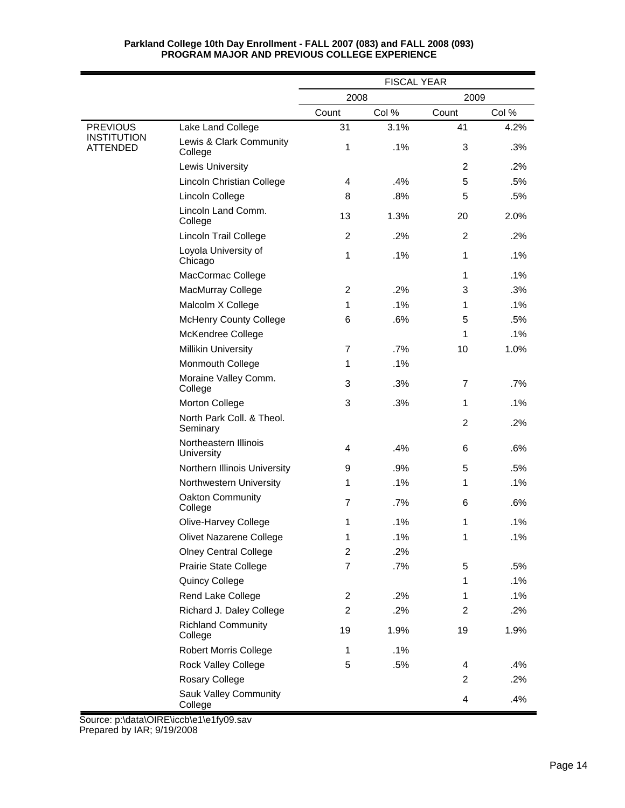|                                |                                         |                | <b>FISCAL YEAR</b> |                |        |
|--------------------------------|-----------------------------------------|----------------|--------------------|----------------|--------|
|                                |                                         | 2008           |                    | 2009           |        |
|                                |                                         | Count          | Col %              | Count          | Col %  |
| <b>PREVIOUS</b>                | Lake Land College                       | 31             | 3.1%               | 41             | 4.2%   |
| <b>INSTITUTION</b><br>ATTENDED | Lewis & Clark Community<br>College      | 1              | .1%                | 3              | .3%    |
|                                | Lewis University                        |                |                    | $\overline{2}$ | .2%    |
|                                | Lincoln Christian College               | 4              | .4%                | 5              | .5%    |
|                                | Lincoln College                         | 8              | .8%                | 5              | .5%    |
|                                | Lincoln Land Comm.<br>College           | 13             | 1.3%               | 20             | 2.0%   |
|                                | <b>Lincoln Trail College</b>            | 2              | .2%                | 2              | .2%    |
|                                | Loyola University of<br>Chicago         | $\mathbf{1}$   | .1%                | 1              | $.1\%$ |
|                                | MacCormac College                       |                |                    | 1              | .1%    |
|                                | MacMurray College                       | $\overline{2}$ | .2%                | 3              | .3%    |
|                                | Malcolm X College                       | 1              | .1%                | 1              | .1%    |
|                                | <b>McHenry County College</b>           | 6              | .6%                | 5              | .5%    |
|                                | McKendree College                       |                |                    | 1              | .1%    |
|                                | <b>Millikin University</b>              | $\overline{7}$ | .7%                | 10             | 1.0%   |
|                                | Monmouth College                        | 1              | .1%                |                |        |
|                                | Moraine Valley Comm.<br>College         | 3              | .3%                | $\overline{7}$ | .7%    |
|                                | Morton College                          | 3              | .3%                | 1              | $.1\%$ |
|                                | North Park Coll. & Theol.<br>Seminary   |                |                    | $\overline{2}$ | .2%    |
|                                | Northeastern Illinois<br>University     | 4              | .4%                | 6              | .6%    |
|                                | Northern Illinois University            | 9              | .9%                | 5              | .5%    |
|                                | Northwestern University                 | 1              | .1%                | 1              | $.1\%$ |
|                                | Oakton Community<br>College             | 7              | .7%                | 6              | .6%    |
|                                | Olive-Harvey College                    | 1              | .1%                | 1              | .1%    |
|                                | Olivet Nazarene College                 | 1              | .1%                | 1              | .1%    |
|                                | <b>Olney Central College</b>            | $\overline{2}$ | .2%                |                |        |
|                                | Prairie State College                   | $\overline{7}$ | .7%                | 5              | .5%    |
|                                | Quincy College                          |                |                    | 1              | .1%    |
|                                | Rend Lake College                       | $\overline{c}$ | .2%                | 1              | .1%    |
|                                | Richard J. Daley College                | $\overline{c}$ | .2%                | 2              | .2%    |
|                                | <b>Richland Community</b><br>College    | 19             | 1.9%               | 19             | 1.9%   |
|                                | <b>Robert Morris College</b>            | $\mathbf{1}$   | .1%                |                |        |
|                                | <b>Rock Valley College</b>              | 5              | .5%                | 4              | .4%    |
|                                | Rosary College                          |                |                    | $\overline{2}$ | .2%    |
|                                | <b>Sauk Valley Community</b><br>College |                |                    | 4              | .4%    |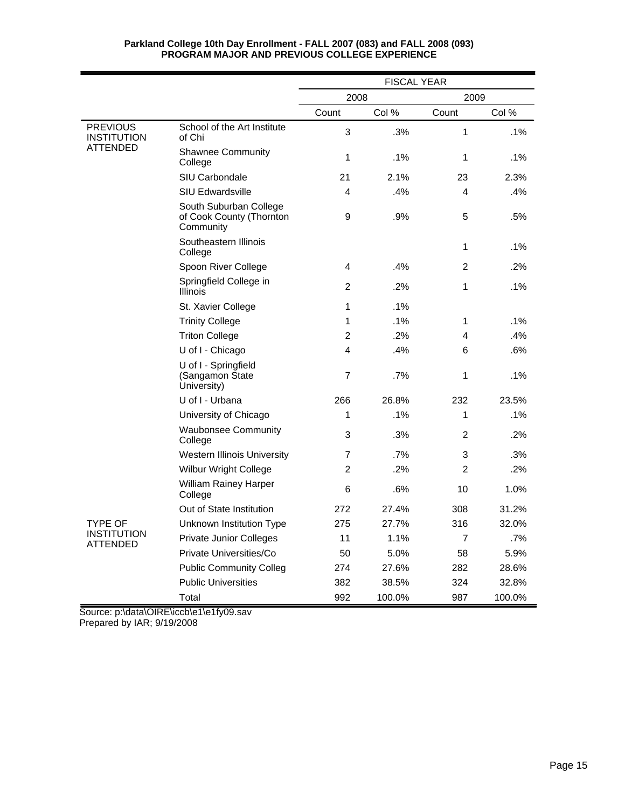|                                       |                                                                 | <b>FISCAL YEAR</b> |        |              |        |
|---------------------------------------|-----------------------------------------------------------------|--------------------|--------|--------------|--------|
|                                       |                                                                 | 2008<br>2009       |        |              |        |
|                                       |                                                                 | Count              | Col %  | Count        | Col %  |
| <b>PREVIOUS</b><br><b>INSTITUTION</b> | School of the Art Institute<br>of Chi                           | 3                  | .3%    | 1            | $.1\%$ |
| ATTENDED                              | <b>Shawnee Community</b><br>College                             | 1                  | $.1\%$ | 1            | $.1\%$ |
|                                       | SIU Carbondale                                                  | 21                 | 2.1%   | 23           | 2.3%   |
|                                       | <b>SIU Edwardsville</b>                                         | 4                  | .4%    | 4            | .4%    |
|                                       | South Suburban College<br>of Cook County (Thornton<br>Community | 9                  | .9%    | 5            | .5%    |
|                                       | Southeastern Illinois<br>College                                |                    |        | $\mathbf{1}$ | $.1\%$ |
|                                       | Spoon River College                                             | $\overline{4}$     | .4%    | 2            | .2%    |
|                                       | Springfield College in<br><b>Illinois</b>                       | $\overline{2}$     | .2%    | 1            | .1%    |
|                                       | St. Xavier College                                              | 1                  | $.1\%$ |              |        |
|                                       | <b>Trinity College</b>                                          | 1                  | .1%    | 1            | $.1\%$ |
|                                       | <b>Triton College</b>                                           | 2                  | .2%    | 4            | .4%    |
|                                       | U of I - Chicago                                                | 4                  | .4%    | 6            | .6%    |
|                                       | U of I - Springfield<br>(Sangamon State<br>University)          | $\overline{7}$     | .7%    | 1            | .1%    |
|                                       | U of I - Urbana                                                 | 266                | 26.8%  | 232          | 23.5%  |
|                                       | University of Chicago                                           | 1                  | .1%    | 1            | .1%    |
|                                       | <b>Waubonsee Community</b><br>College                           | 3                  | .3%    | 2            | .2%    |
|                                       | <b>Western Illinois University</b>                              | 7                  | .7%    | 3            | .3%    |
|                                       | <b>Wilbur Wright College</b>                                    | 2                  | .2%    | 2            | $.2\%$ |
|                                       | <b>William Rainey Harper</b><br>College                         | 6                  | .6%    | 10           | 1.0%   |
|                                       | Out of State Institution                                        | 272                | 27.4%  | 308          | 31.2%  |
| TYPE OF                               | Unknown Institution Type                                        | 275                | 27.7%  | 316          | 32.0%  |
| <b>INSTITUTION</b><br>ATTENDED        | <b>Private Junior Colleges</b>                                  | 11                 | 1.1%   | 7            | .7%    |
|                                       | Private Universities/Co                                         | 50                 | 5.0%   | 58           | 5.9%   |
|                                       | <b>Public Community Colleg</b>                                  | 274                | 27.6%  | 282          | 28.6%  |
|                                       | <b>Public Universities</b>                                      | 382                | 38.5%  | 324          | 32.8%  |
|                                       | Total                                                           | 992                | 100.0% | 987          | 100.0% |